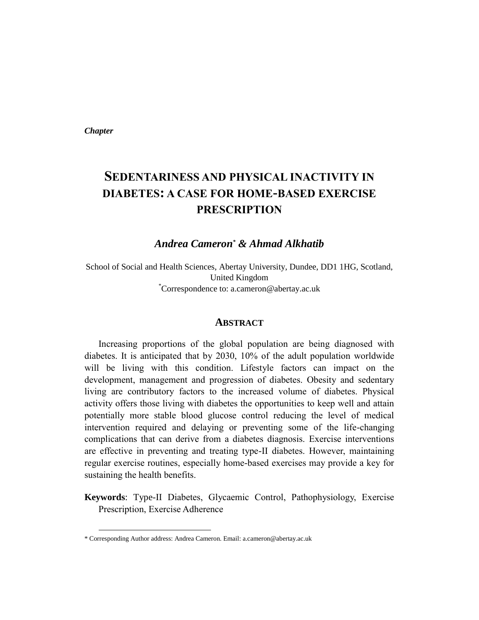*Chapter* 

# **SEDENTARINESS AND PHYSICAL INACTIVITY IN DIABETES: A CASE FOR HOME-BASED EXERCISE PRESCRIPTION**

*Andrea Cameron\* & Ahmad Alkhatib* 

School of Social and Health Sciences, Abertay University, Dundee, DD1 1HG, Scotland, United Kingdom \*Correspondence to: a.cameron@abertay.ac.uk

#### **ABSTRACT**

Increasing proportions of the global population are being diagnosed with diabetes. It is anticipated that by 2030, 10% of the adult population worldwide will be living with this condition. Lifestyle factors can impact on the development, management and progression of diabetes. Obesity and sedentary living are contributory factors to the increased volume of diabetes. Physical activity offers those living with diabetes the opportunities to keep well and attain potentially more stable blood glucose control reducing the level of medical intervention required and delaying or preventing some of the life-changing complications that can derive from a diabetes diagnosis. Exercise interventions are effective in preventing and treating type-II diabetes. However, maintaining regular exercise routines, especially home-based exercises may provide a key for sustaining the health benefits.

**Keywords**: Type-II Diabetes, Glycaemic Control, Pathophysiology, Exercise Prescription, Exercise Adherence

<sup>\*</sup> Corresponding Author address: Andrea Cameron. Email: a.cameron@abertay.ac.uk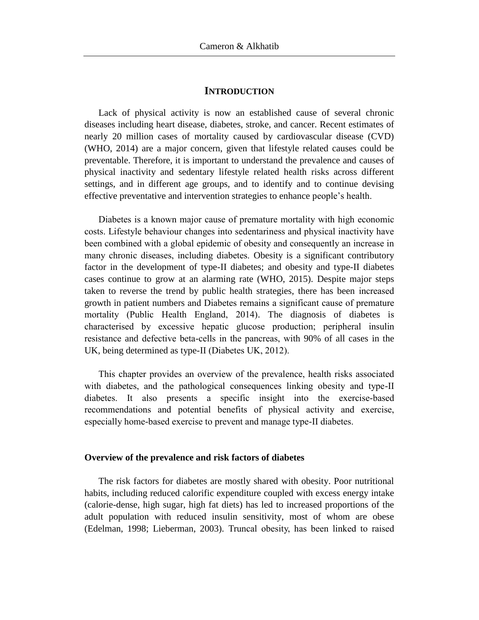#### **INTRODUCTION**

Lack of physical activity is now an established cause of several chronic diseases including heart disease, diabetes, stroke, and cancer. Recent estimates of nearly 20 million cases of mortality caused by cardiovascular disease (CVD) (WHO, 2014) are a major concern, given that lifestyle related causes could be preventable. Therefore, it is important to understand the prevalence and causes of physical inactivity and sedentary lifestyle related health risks across different settings, and in different age groups, and to identify and to continue devising effective preventative and intervention strategies to enhance people's health.

Diabetes is a known major cause of premature mortality with high economic costs. Lifestyle behaviour changes into sedentariness and physical inactivity have been combined with a global epidemic of obesity and consequently an increase in many chronic diseases, including diabetes. Obesity is a significant contributory factor in the development of type-II diabetes; and obesity and type-II diabetes cases continue to grow at an alarming rate (WHO, 2015). Despite major steps taken to reverse the trend by public health strategies, there has been increased growth in patient numbers and Diabetes remains a significant cause of premature mortality (Public Health England, 2014). The diagnosis of diabetes is characterised by excessive hepatic glucose production; peripheral insulin resistance and defective beta-cells in the pancreas, with 90% of all cases in the UK, being determined as type-II (Diabetes UK, 2012).

This chapter provides an overview of the prevalence, health risks associated with diabetes, and the pathological consequences linking obesity and type-II diabetes. It also presents a specific insight into the exercise-based recommendations and potential benefits of physical activity and exercise, especially home-based exercise to prevent and manage type-II diabetes.

#### **Overview of the prevalence and risk factors of diabetes**

The risk factors for diabetes are mostly shared with obesity. Poor nutritional habits, including reduced calorific expenditure coupled with excess energy intake (calorie-dense, high sugar, high fat diets) has led to increased proportions of the adult population with reduced insulin sensitivity, most of whom are obese (Edelman, 1998; Lieberman, 2003). Truncal obesity, has been linked to raised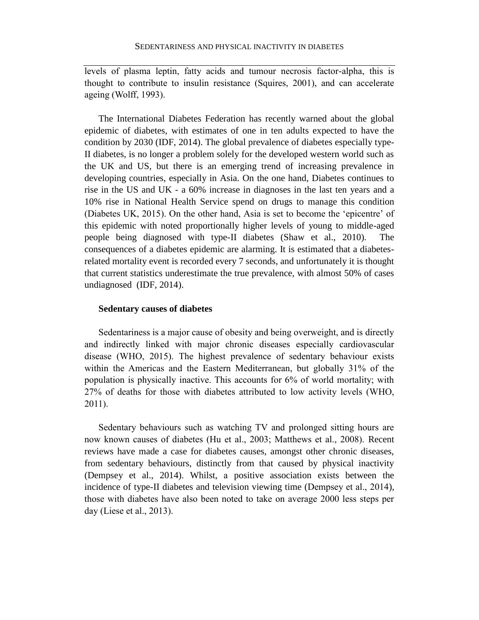levels of plasma leptin, fatty acids and tumour necrosis factor-alpha, this is thought to contribute to insulin resistance (Squires, 2001), and can accelerate ageing (Wolff, 1993).

The International Diabetes Federation has recently warned about the global epidemic of diabetes, with estimates of one in ten adults expected to have the condition by 2030 (IDF, 2014). The global prevalence of diabetes especially type-II diabetes, is no longer a problem solely for the developed western world such as the UK and US, but there is an emerging trend of increasing prevalence in developing countries, especially in Asia. On the one hand, Diabetes continues to rise in the US and UK - a 60% increase in diagnoses in the last ten years and a 10% rise in National Health Service spend on drugs to manage this condition (Diabetes UK, 2015). On the other hand, Asia is set to become the 'epicentre' of this epidemic with noted proportionally higher levels of young to middle-aged people being diagnosed with type-II diabetes (Shaw et al., 2010). The consequences of a diabetes epidemic are alarming. It is estimated that a diabetesrelated mortality event is recorded every 7 seconds, and unfortunately it is thought that current statistics underestimate the true prevalence, with almost 50% of cases undiagnosed (IDF, 2014).

#### **Sedentary causes of diabetes**

Sedentariness is a major cause of obesity and being overweight, and is directly and indirectly linked with major chronic diseases especially cardiovascular disease (WHO, 2015). The highest prevalence of sedentary behaviour exists within the Americas and the Eastern Mediterranean, but globally 31% of the population is physically inactive. This accounts for 6% of world mortality; with 27% of deaths for those with diabetes attributed to low activity levels (WHO, 2011).

Sedentary behaviours such as watching TV and prolonged sitting hours are now known causes of diabetes (Hu et al., 2003; Matthews et al., 2008). Recent reviews have made a case for diabetes causes, amongst other chronic diseases, from sedentary behaviours, distinctly from that caused by physical inactivity (Dempsey et al., 2014). Whilst, a positive association exists between the incidence of type-II diabetes and television viewing time (Dempsey et al., 2014), those with diabetes have also been noted to take on average 2000 less steps per day (Liese et al., 2013).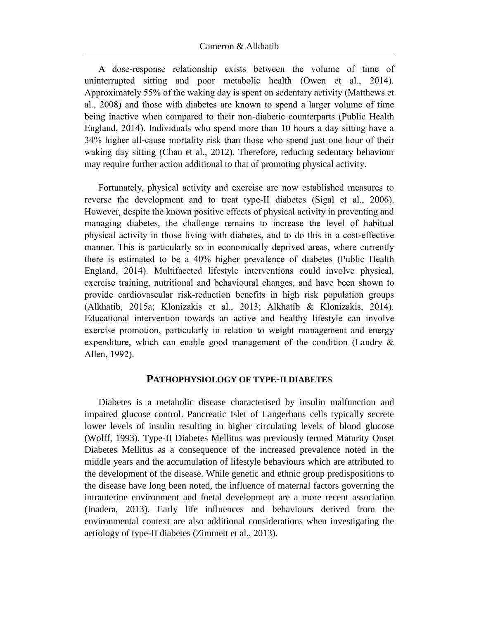A dose-response relationship exists between the volume of time of uninterrupted sitting and poor metabolic health (Owen et al., 2014). Approximately 55% of the waking day is spent on sedentary activity (Matthews et al., 2008) and those with diabetes are known to spend a larger volume of time being inactive when compared to their non-diabetic counterparts (Public Health England, 2014). Individuals who spend more than 10 hours a day sitting have a 34% higher all-cause mortality risk than those who spend just one hour of their waking day sitting (Chau et al., 2012). Therefore, reducing sedentary behaviour may require further action additional to that of promoting physical activity.

Fortunately, physical activity and exercise are now established measures to reverse the development and to treat type-II diabetes (Sigal et al., 2006). However, despite the known positive effects of physical activity in preventing and managing diabetes, the challenge remains to increase the level of habitual physical activity in those living with diabetes, and to do this in a cost-effective manner. This is particularly so in economically deprived areas, where currently there is estimated to be a 40% higher prevalence of diabetes (Public Health England, 2014). Multifaceted lifestyle interventions could involve physical, exercise training, nutritional and behavioural changes, and have been shown to provide cardiovascular risk-reduction benefits in high risk population groups (Alkhatib, 2015a; Klonizakis et al., 2013; Alkhatib & Klonizakis, 2014). Educational intervention towards an active and healthy lifestyle can involve exercise promotion, particularly in relation to weight management and energy expenditure, which can enable good management of the condition (Landry  $\&$ Allen, 1992).

#### **PATHOPHYSIOLOGY OF TYPE-II DIABETES**

Diabetes is a metabolic disease characterised by insulin malfunction and impaired glucose control. Pancreatic Islet of Langerhans cells typically secrete lower levels of insulin resulting in higher circulating levels of blood glucose (Wolff, 1993). Type-II Diabetes Mellitus was previously termed Maturity Onset Diabetes Mellitus as a consequence of the increased prevalence noted in the middle years and the accumulation of lifestyle behaviours which are attributed to the development of the disease. While genetic and ethnic group predispositions to the disease have long been noted, the influence of maternal factors governing the intrauterine environment and foetal development are a more recent association (Inadera, 2013). Early life influences and behaviours derived from the environmental context are also additional considerations when investigating the aetiology of type-II diabetes (Zimmett et al., 2013).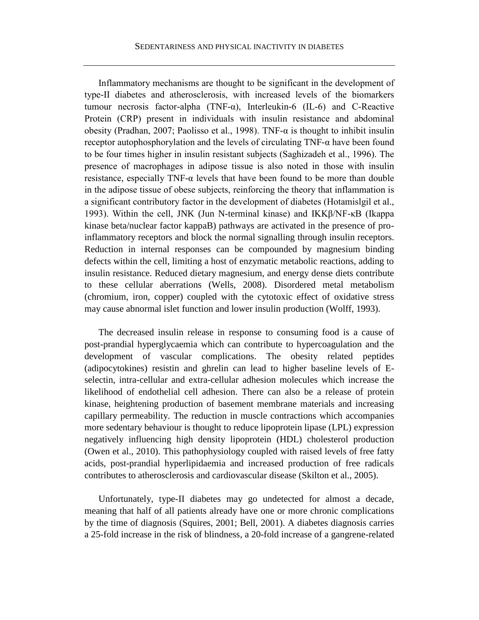Inflammatory mechanisms are thought to be significant in the development of type-II diabetes and atherosclerosis, with increased levels of the biomarkers tumour necrosis factor-alpha (TNF-α), Interleukin-6 (IL-6) and C-Reactive Protein (CRP) present in individuals with insulin resistance and abdominal obesity (Pradhan, 2007; Paolisso et al., 1998). TNF- $\alpha$  is thought to inhibit insulin receptor autophosphorylation and the levels of circulating TNF-α have been found to be four times higher in insulin resistant subjects (Saghizadeh et al., 1996). The presence of macrophages in adipose tissue is also noted in those with insulin resistance, especially  $TNF-\alpha$  levels that have been found to be more than double in the adipose tissue of obese subjects, reinforcing the theory that inflammation is a significant contributory factor in the development of diabetes (Hotamislgil et al., 1993). Within the cell, JNK (Jun N-terminal kinase) and IKKβ/NF-κB (Ikappa kinase beta/nuclear factor kappaB) pathways are activated in the presence of proinflammatory receptors and block the normal signalling through insulin receptors. Reduction in internal responses can be compounded by magnesium binding defects within the cell, limiting a host of enzymatic metabolic reactions, adding to insulin resistance. Reduced dietary magnesium, and energy dense diets contribute to these cellular aberrations (Wells, 2008). Disordered metal metabolism (chromium, iron, copper) coupled with the cytotoxic effect of oxidative stress may cause abnormal islet function and lower insulin production (Wolff, 1993).

The decreased insulin release in response to consuming food is a cause of post-prandial hyperglycaemia which can contribute to hypercoagulation and the development of vascular complications. The obesity related peptides (adipocytokines) resistin and ghrelin can lead to higher baseline levels of Eselectin, intra-cellular and extra-cellular adhesion molecules which increase the likelihood of endothelial cell adhesion. There can also be a release of protein kinase, heightening production of basement membrane materials and increasing capillary permeability. The reduction in muscle contractions which accompanies more sedentary behaviour is thought to reduce lipoprotein lipase (LPL) expression negatively influencing high density lipoprotein (HDL) cholesterol production (Owen et al., 2010). This pathophysiology coupled with raised levels of free fatty acids, post-prandial hyperlipidaemia and increased production of free radicals contributes to atherosclerosis and cardiovascular disease (Skilton et al., 2005).

Unfortunately, type-II diabetes may go undetected for almost a decade, meaning that half of all patients already have one or more chronic complications by the time of diagnosis (Squires, 2001; Bell, 2001). A diabetes diagnosis carries a 25-fold increase in the risk of blindness, a 20-fold increase of a gangrene-related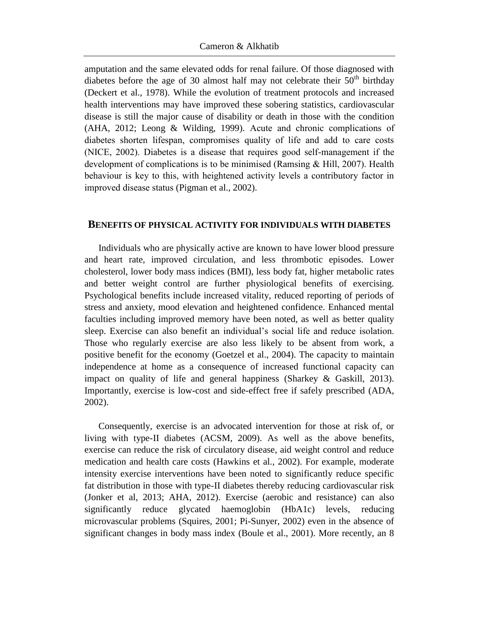amputation and the same elevated odds for renal failure. Of those diagnosed with diabetes before the age of 30 almost half may not celebrate their  $50<sup>th</sup>$  birthday (Deckert et al., 1978). While the evolution of treatment protocols and increased health interventions may have improved these sobering statistics, cardiovascular disease is still the major cause of disability or death in those with the condition (AHA, 2012; Leong & Wilding, 1999). Acute and chronic complications of diabetes shorten lifespan, compromises quality of life and add to care costs (NICE, 2002). Diabetes is a disease that requires good self-management if the development of complications is to be minimised (Ramsing & Hill, 2007). Health behaviour is key to this, with heightened activity levels a contributory factor in improved disease status (Pigman et al., 2002).

#### **BENEFITS OF PHYSICAL ACTIVITY FOR INDIVIDUALS WITH DIABETES**

Individuals who are physically active are known to have lower blood pressure and heart rate, improved circulation, and less thrombotic episodes. Lower cholesterol, lower body mass indices (BMI), less body fat, higher metabolic rates and better weight control are further physiological benefits of exercising. Psychological benefits include increased vitality, reduced reporting of periods of stress and anxiety, mood elevation and heightened confidence. Enhanced mental faculties including improved memory have been noted, as well as better quality sleep. Exercise can also benefit an individual's social life and reduce isolation. Those who regularly exercise are also less likely to be absent from work, a positive benefit for the economy (Goetzel et al., 2004). The capacity to maintain independence at home as a consequence of increased functional capacity can impact on quality of life and general happiness (Sharkey & Gaskill, 2013). Importantly, exercise is low-cost and side-effect free if safely prescribed (ADA, 2002).

Consequently, exercise is an advocated intervention for those at risk of, or living with type-II diabetes (ACSM, 2009). As well as the above benefits, exercise can reduce the risk of circulatory disease, aid weight control and reduce medication and health care costs (Hawkins et al., 2002). For example, moderate intensity exercise interventions have been noted to significantly reduce specific fat distribution in those with type-II diabetes thereby reducing cardiovascular risk (Jonker et al, 2013; AHA, 2012). Exercise (aerobic and resistance) can also significantly reduce glycated haemoglobin (HbA1c) levels, reducing microvascular problems (Squires, 2001; Pi-Sunyer, 2002) even in the absence of significant changes in body mass index (Boule et al., 2001). More recently, an 8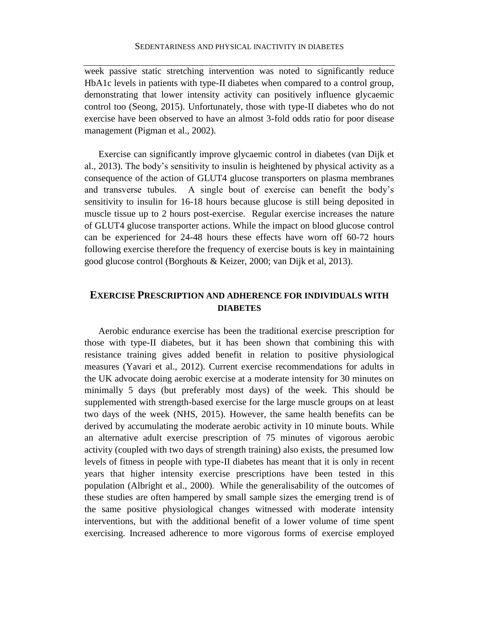week passive static stretching intervention was noted to significantly reduce HbA1c levels in patients with type-II diabetes when compared to a control group, demonstrating that lower intensity activity can positively influence glycaemic control too (Seong, 2015). Unfortunately, those with type-II diabetes who do not exercise have been observed to have an almost 3-fold odds ratio for poor disease management (Pigman et al., 2002).

Exercise can significantly improve glycaemic control in diabetes (van Dijk et al., 2013). The body's sensitivity to insulin is heightened by physical activity as a consequence of the action of GLUT4 glucose transporters on plasma membranes and transverse tubules. A single bout of exercise can benefit the body's sensitivity to insulin for 16-18 hours because glucose is still being deposited in muscle tissue up to 2 hours post-exercise. Regular exercise increases the nature of GLUT4 glucose transporter actions. While the impact on blood glucose control can be experienced for 24-48 hours these effects have worn off 60-72 hours following exercise therefore the frequency of exercise bouts is key in maintaining good glucose control (Borghouts & Keizer, 2000; van Dijk et al, 2013).

# **EXERCISE PRESCRIPTION AND ADHERENCE FOR INDIVIDUALS WITH DIABETES**

Aerobic endurance exercise has been the traditional exercise prescription for those with type-II diabetes, but it has been shown that combining this with resistance training gives added benefit in relation to positive physiological measures (Yavari et al., 2012). Current exercise recommendations for adults in the UK advocate doing aerobic exercise at a moderate intensity for 30 minutes on minimally 5 days (but preferably most days) of the week. This should be supplemented with strength-based exercise for the large muscle groups on at least two days of the week (NHS, 2015). However, the same health benefits can be derived by accumulating the moderate aerobic activity in 10 minute bouts. While an alternative adult exercise prescription of 75 minutes of vigorous aerobic activity (coupled with two days of strength training) also exists, the presumed low levels of fitness in people with type-II diabetes has meant that it is only in recent years that higher intensity exercise prescriptions have been tested in this population (Albright et al., 2000). While the generalisability of the outcomes of these studies are often hampered by small sample sizes the emerging trend is of the same positive physiological changes witnessed with moderate intensity interventions, but with the additional benefit of a lower volume of time spent exercising. Increased adherence to more vigorous forms of exercise employed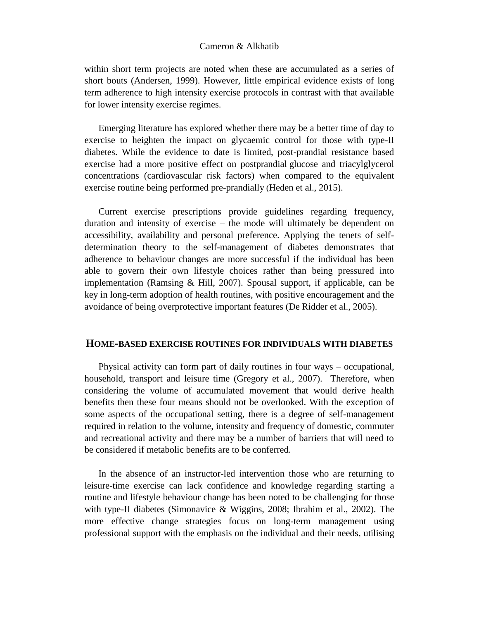within short term projects are noted when these are accumulated as a series of short bouts (Andersen, 1999). However, little empirical evidence exists of long term adherence to high intensity exercise protocols in contrast with that available for lower intensity exercise regimes.

Emerging literature has explored whether there may be a better time of day to exercise to heighten the impact on glycaemic control for those with type-II diabetes. While the evidence to date is limited, post-prandial resistance based exercise had a more positive effect on postprandial glucose and triacylglycerol concentrations (cardiovascular risk factors) when compared to the equivalent exercise routine being performed pre-prandially (Heden et al., 2015).

Current exercise prescriptions provide guidelines regarding frequency, duration and intensity of exercise – the mode will ultimately be dependent on accessibility, availability and personal preference. Applying the tenets of selfdetermination theory to the self-management of diabetes demonstrates that adherence to behaviour changes are more successful if the individual has been able to govern their own lifestyle choices rather than being pressured into implementation (Ramsing  $\&$  Hill, 2007). Spousal support, if applicable, can be key in long-term adoption of health routines, with positive encouragement and the avoidance of being overprotective important features (De Ridder et al., 2005).

#### **HOME-BASED EXERCISE ROUTINES FOR INDIVIDUALS WITH DIABETES**

Physical activity can form part of daily routines in four ways – occupational, household, transport and leisure time (Gregory et al., 2007). Therefore, when considering the volume of accumulated movement that would derive health benefits then these four means should not be overlooked. With the exception of some aspects of the occupational setting, there is a degree of self-management required in relation to the volume, intensity and frequency of domestic, commuter and recreational activity and there may be a number of barriers that will need to be considered if metabolic benefits are to be conferred.

In the absence of an instructor-led intervention those who are returning to leisure-time exercise can lack confidence and knowledge regarding starting a routine and lifestyle behaviour change has been noted to be challenging for those with type-II diabetes (Simonavice & Wiggins, 2008; Ibrahim et al., 2002). The more effective change strategies focus on long-term management using professional support with the emphasis on the individual and their needs, utilising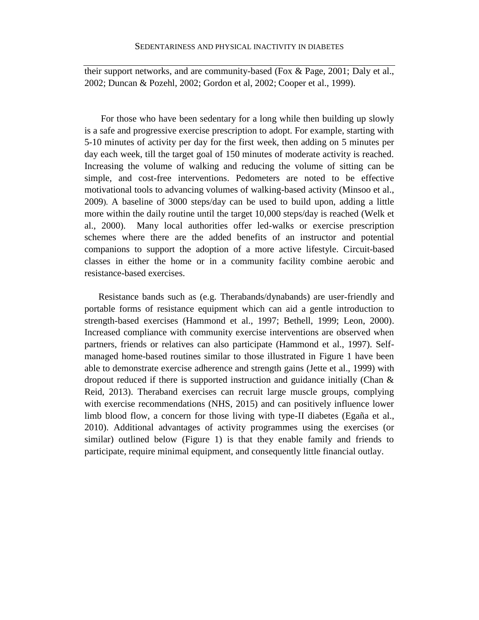their support networks, and are community-based (Fox & Page, 2001; Daly et al., 2002; Duncan & Pozehl, 2002; Gordon et al, 2002; Cooper et al., 1999).

 For those who have been sedentary for a long while then building up slowly is a safe and progressive exercise prescription to adopt. For example, starting with 5-10 minutes of activity per day for the first week, then adding on 5 minutes per day each week, till the target goal of 150 minutes of moderate activity is reached. Increasing the volume of walking and reducing the volume of sitting can be simple, and cost-free interventions. Pedometers are noted to be effective motivational tools to advancing volumes of walking-based activity (Minsoo et al., 2009). A baseline of 3000 steps/day can be used to build upon, adding a little more within the daily routine until the target 10,000 steps/day is reached (Welk et al., 2000). Many local authorities offer led-walks or exercise prescription schemes where there are the added benefits of an instructor and potential companions to support the adoption of a more active lifestyle. Circuit-based classes in either the home or in a community facility combine aerobic and resistance-based exercises.

Resistance bands such as (e.g. Therabands/dynabands) are user-friendly and portable forms of resistance equipment which can aid a gentle introduction to strength-based exercises (Hammond et al., 1997; Bethell, 1999; Leon, 2000). Increased compliance with community exercise interventions are observed when partners, friends or relatives can also participate (Hammond et al., 1997). Selfmanaged home-based routines similar to those illustrated in Figure 1 have been able to demonstrate exercise adherence and strength gains (Jette et al., 1999) with dropout reduced if there is supported instruction and guidance initially (Chan & Reid, 2013). Theraband exercises can recruit large muscle groups, complying with exercise recommendations (NHS, 2015) and can positively influence lower limb blood flow, a concern for those living with type-II diabetes (Egaña et al., 2010). Additional advantages of activity programmes using the exercises (or similar) outlined below (Figure 1) is that they enable family and friends to participate, require minimal equipment, and consequently little financial outlay.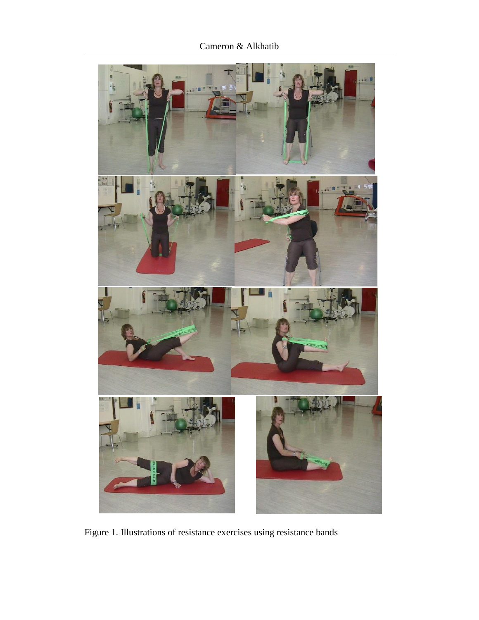Cameron & Alkhatib



Figure 1. Illustrations of resistance exercises using resistance bands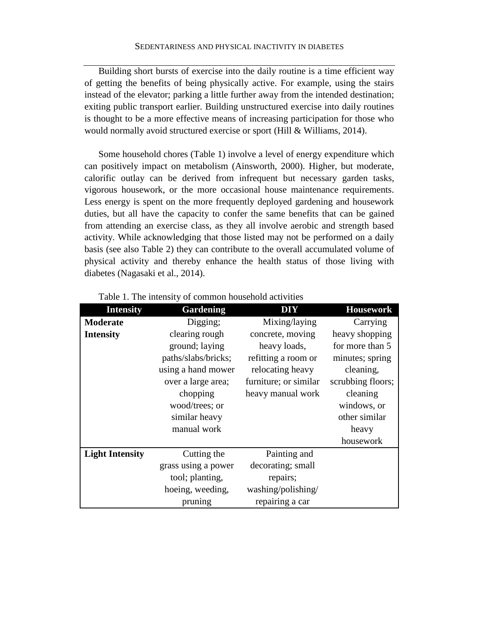Building short bursts of exercise into the daily routine is a time efficient way of getting the benefits of being physically active. For example, using the stairs instead of the elevator; parking a little further away from the intended destination; exiting public transport earlier. Building unstructured exercise into daily routines is thought to be a more effective means of increasing participation for those who would normally avoid structured exercise or sport (Hill & Williams, 2014).

Some household chores (Table 1) involve a level of energy expenditure which can positively impact on metabolism (Ainsworth, 2000). Higher, but moderate, calorific outlay can be derived from infrequent but necessary garden tasks, vigorous housework, or the more occasional house maintenance requirements. Less energy is spent on the more frequently deployed gardening and housework duties, but all have the capacity to confer the same benefits that can be gained from attending an exercise class, as they all involve aerobic and strength based activity. While acknowledging that those listed may not be performed on a daily basis (see also Table 2) they can contribute to the overall accumulated volume of physical activity and thereby enhance the health status of those living with diabetes (Nagasaki et al., 2014).

| <b>Intensity</b>       | <b>Gardening</b>    | <b>DIY</b>            | <b>Housework</b>  |
|------------------------|---------------------|-----------------------|-------------------|
| <b>Moderate</b>        | Digging;            | Mixing/laying         | Carrying          |
| <b>Intensity</b>       | clearing rough      | concrete, moving      | heavy shopping    |
|                        | ground; laying      | heavy loads,          | for more than 5   |
|                        | paths/slabs/bricks; | refitting a room or   | minutes; spring   |
|                        | using a hand mower  | relocating heavy      | cleaning,         |
|                        | over a large area;  | furniture; or similar | scrubbing floors; |
|                        | chopping            | heavy manual work     | cleaning          |
|                        | wood/trees; or      |                       | windows, or       |
|                        | similar heavy       |                       | other similar     |
|                        | manual work         |                       | heavy             |
|                        |                     |                       | housework         |
| <b>Light Intensity</b> | Cutting the         | Painting and          |                   |
|                        | grass using a power | decorating; small     |                   |
|                        | tool; planting,     | repairs;              |                   |
|                        | hoeing, weeding,    | washing/polishing/    |                   |
|                        | pruning             | repairing a car       |                   |

| Table 1. The intensity of common household activities |  |  |  |
|-------------------------------------------------------|--|--|--|
|-------------------------------------------------------|--|--|--|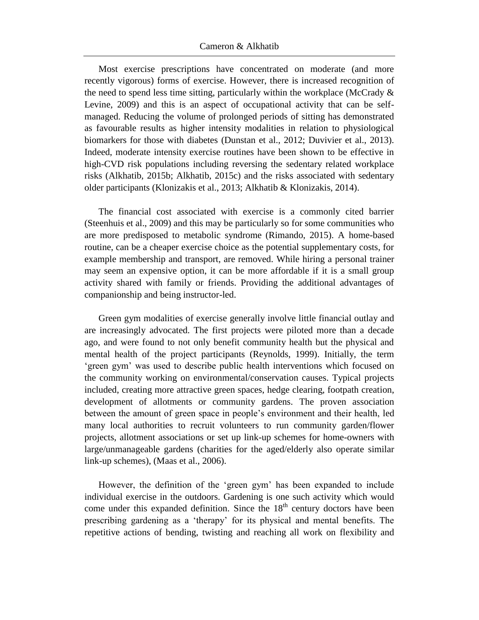Most exercise prescriptions have concentrated on moderate (and more recently vigorous) forms of exercise. However, there is increased recognition of the need to spend less time sitting, particularly within the workplace (McCrady  $\&$ Levine, 2009) and this is an aspect of occupational activity that can be selfmanaged. Reducing the volume of prolonged periods of sitting has demonstrated as favourable results as higher intensity modalities in relation to physiological biomarkers for those with diabetes (Dunstan et al., 2012; Duvivier et al., 2013). Indeed, moderate intensity exercise routines have been shown to be effective in high-CVD risk populations including reversing the sedentary related workplace risks (Alkhatib, 2015b; Alkhatib, 2015c) and the risks associated with sedentary older participants (Klonizakis et al., 2013; Alkhatib & Klonizakis, 2014).

The financial cost associated with exercise is a commonly cited barrier (Steenhuis et al., 2009) and this may be particularly so for some communities who are more predisposed to metabolic syndrome (Rimando, 2015). A home-based routine, can be a cheaper exercise choice as the potential supplementary costs, for example membership and transport, are removed. While hiring a personal trainer may seem an expensive option, it can be more affordable if it is a small group activity shared with family or friends. Providing the additional advantages of companionship and being instructor-led.

Green gym modalities of exercise generally involve little financial outlay and are increasingly advocated. The first projects were piloted more than a decade ago, and were found to not only benefit community health but the physical and mental health of the project participants (Reynolds, 1999). Initially, the term 'green gym' was used to describe public health interventions which focused on the community working on environmental/conservation causes. Typical projects included, creating more attractive green spaces, hedge clearing, footpath creation, development of allotments or community gardens. The proven association between the amount of green space in people's environment and their health, led many local authorities to recruit volunteers to run community garden/flower projects, allotment associations or set up link-up schemes for home-owners with large/unmanageable gardens (charities for the aged/elderly also operate similar link-up schemes), (Maas et al., 2006).

However, the definition of the 'green gym' has been expanded to include individual exercise in the outdoors. Gardening is one such activity which would come under this expanded definition. Since the  $18<sup>th</sup>$  century doctors have been prescribing gardening as a 'therapy' for its physical and mental benefits. The repetitive actions of bending, twisting and reaching all work on flexibility and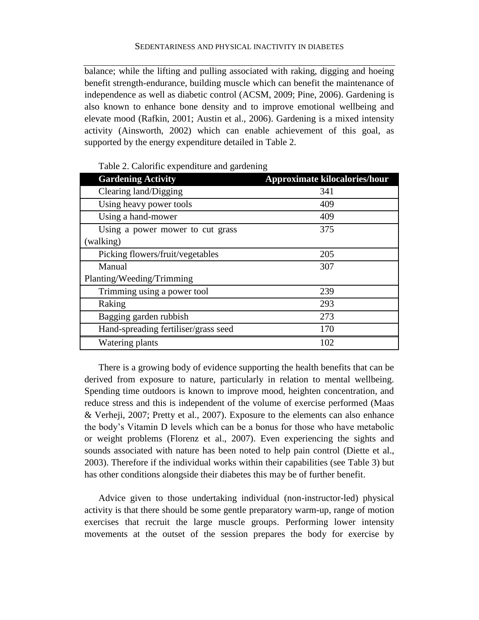balance; while the lifting and pulling associated with raking, digging and hoeing benefit strength-endurance, building muscle which can benefit the maintenance of independence as well as diabetic control (ACSM, 2009; Pine, 2006). Gardening is also known to enhance bone density and to improve emotional wellbeing and elevate mood (Rafkin, 2001; Austin et al., 2006). Gardening is a mixed intensity activity (Ainsworth, 2002) which can enable achievement of this goal, as supported by the energy expenditure detailed in Table 2.

| <b>Gardening Activity</b>            | <b>Approximate kilocalories/hour</b> |
|--------------------------------------|--------------------------------------|
| Clearing land/Digging                | 341                                  |
| Using heavy power tools              | 409                                  |
| Using a hand-mower                   | 409                                  |
| Using a power mower to cut grass     | 375                                  |
| (walking)                            |                                      |
| Picking flowers/fruit/vegetables     | 205                                  |
| Manual                               | 307                                  |
| Planting/Weeding/Trimming            |                                      |
| Trimming using a power tool          | 239                                  |
| Raking                               | 293                                  |
| Bagging garden rubbish               | 273                                  |
| Hand-spreading fertiliser/grass seed | 170                                  |
| Watering plants                      | 102                                  |

Table 2. Calorific expenditure and gardening

There is a growing body of evidence supporting the health benefits that can be derived from exposure to nature, particularly in relation to mental wellbeing. Spending time outdoors is known to improve mood, heighten concentration, and reduce stress and this is independent of the volume of exercise performed (Maas & Verheji, 2007; Pretty et al., 2007). Exposure to the elements can also enhance the body's Vitamin D levels which can be a bonus for those who have metabolic or weight problems (Florenz et al., 2007). Even experiencing the sights and sounds associated with nature has been noted to help pain control (Diette et al., 2003). Therefore if the individual works within their capabilities (see Table 3) but has other conditions alongside their diabetes this may be of further benefit.

Advice given to those undertaking individual (non-instructor-led) physical activity is that there should be some gentle preparatory warm-up, range of motion exercises that recruit the large muscle groups. Performing lower intensity movements at the outset of the session prepares the body for exercise by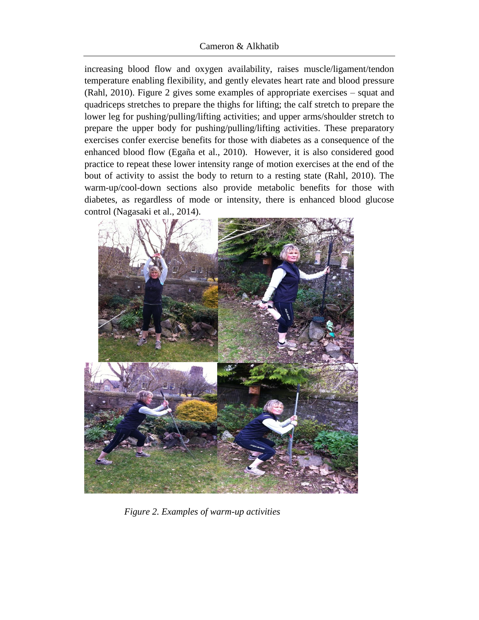### Cameron & Alkhatib

increasing blood flow and oxygen availability, raises muscle/ligament/tendon temperature enabling flexibility, and gently elevates heart rate and blood pressure (Rahl, 2010). Figure 2 gives some examples of appropriate exercises – squat and quadriceps stretches to prepare the thighs for lifting; the calf stretch to prepare the lower leg for pushing/pulling/lifting activities; and upper arms/shoulder stretch to prepare the upper body for pushing/pulling/lifting activities. These preparatory exercises confer exercise benefits for those with diabetes as a consequence of the enhanced blood flow (Egaña et al., 2010). However, it is also considered good practice to repeat these lower intensity range of motion exercises at the end of the bout of activity to assist the body to return to a resting state (Rahl, 2010). The warm-up/cool-down sections also provide metabolic benefits for those with diabetes, as regardless of mode or intensity, there is enhanced blood glucose control (Nagasaki et al., 2014).



*Figure 2. Examples of warm-up activities*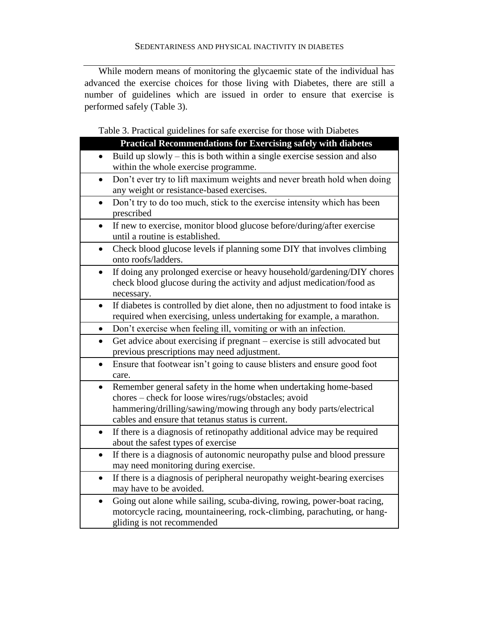While modern means of monitoring the glycaemic state of the individual has advanced the exercise choices for those living with Diabetes, there are still a number of guidelines which are issued in order to ensure that exercise is performed safely (Table 3).

Table 3. Practical guidelines for safe exercise for those with Diabetes

| <b>Practical Recommendations for Exercising safely with diabetes</b>                                                                                                                                                                                            |  |  |
|-----------------------------------------------------------------------------------------------------------------------------------------------------------------------------------------------------------------------------------------------------------------|--|--|
| Build up slowly – this is both within a single exercise session and also<br>$\bullet$<br>within the whole exercise programme.                                                                                                                                   |  |  |
| Don't ever try to lift maximum weights and never breath hold when doing<br>$\bullet$<br>any weight or resistance-based exercises.                                                                                                                               |  |  |
| Don't try to do too much, stick to the exercise intensity which has been<br>$\bullet$<br>prescribed                                                                                                                                                             |  |  |
| If new to exercise, monitor blood glucose before/during/after exercise<br>until a routine is established.                                                                                                                                                       |  |  |
| Check blood glucose levels if planning some DIY that involves climbing<br>$\bullet$<br>onto roofs/ladders.                                                                                                                                                      |  |  |
| If doing any prolonged exercise or heavy household/gardening/DIY chores<br>$\bullet$<br>check blood glucose during the activity and adjust medication/food as<br>necessary.                                                                                     |  |  |
| If diabetes is controlled by diet alone, then no adjustment to food intake is<br>$\bullet$<br>required when exercising, unless undertaking for example, a marathon.                                                                                             |  |  |
| Don't exercise when feeling ill, vomiting or with an infection.<br>$\bullet$                                                                                                                                                                                    |  |  |
| Get advice about exercising if pregnant – exercise is still advocated but<br>$\bullet$<br>previous prescriptions may need adjustment.                                                                                                                           |  |  |
| Ensure that footwear isn't going to cause blisters and ensure good foot<br>$\bullet$<br>care.                                                                                                                                                                   |  |  |
| Remember general safety in the home when undertaking home-based<br>$\bullet$<br>chores - check for loose wires/rugs/obstacles; avoid<br>hammering/drilling/sawing/mowing through any body parts/electrical<br>cables and ensure that tetanus status is current. |  |  |
| If there is a diagnosis of retinopathy additional advice may be required<br>$\bullet$<br>about the safest types of exercise                                                                                                                                     |  |  |
| If there is a diagnosis of autonomic neuropathy pulse and blood pressure<br>may need monitoring during exercise.                                                                                                                                                |  |  |
| If there is a diagnosis of peripheral neuropathy weight-bearing exercises<br>$\bullet$<br>may have to be avoided.                                                                                                                                               |  |  |
| Going out alone while sailing, scuba-diving, rowing, power-boat racing,<br>$\bullet$<br>motorcycle racing, mountaineering, rock-climbing, parachuting, or hang-<br>gliding is not recommended                                                                   |  |  |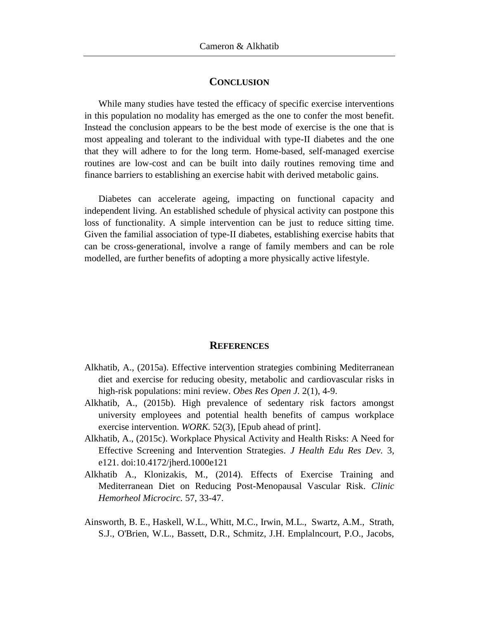## **CONCLUSION**

While many studies have tested the efficacy of specific exercise interventions in this population no modality has emerged as the one to confer the most benefit. Instead the conclusion appears to be the best mode of exercise is the one that is most appealing and tolerant to the individual with type-II diabetes and the one that they will adhere to for the long term. Home-based, self-managed exercise routines are low-cost and can be built into daily routines removing time and finance barriers to establishing an exercise habit with derived metabolic gains.

Diabetes can accelerate ageing, impacting on functional capacity and independent living. An established schedule of physical activity can postpone this loss of functionality. A simple intervention can be just to reduce sitting time. Given the familial association of type-II diabetes, establishing exercise habits that can be cross-generational, involve a range of family members and can be role modelled, are further benefits of adopting a more physically active lifestyle.

#### **REFERENCES**

- Alkhatib, A., (2015a). Effective intervention strategies combining Mediterranean diet and exercise for reducing obesity, metabolic and cardiovascular risks in high-risk populations: mini review. *Obes Res Open J.* 2(1), 4-9.
- Alkhatib, A., (2015b). High prevalence of sedentary risk factors amongst university employees and potential health benefits of campus workplace exercise intervention. *WORK.* 52(3), [Epub ahead of print].
- Alkhatib, A., (2015c). Workplace Physical Activity and Health Risks: A Need for Effective Screening and Intervention Strategies. *J Health Edu Res Dev.* 3, e121. doi:10.4172/jherd.1000e121
- Alkhatib A., Klonizakis, M., (2014). Effects of Exercise Training and Mediterranean Diet on Reducing Post-Menopausal Vascular Risk. *Clinic Hemorheol Microcirc.* 57, 33-47.
- Ainsworth, B. E., Haskell, W.L., Whitt, M.C., Irwin, M.L., Swartz, A.M., Strath, S.J., O'Brien, W.L., Bassett, D.R., Schmitz, J.H. Emplalncourt, P.O., Jacobs,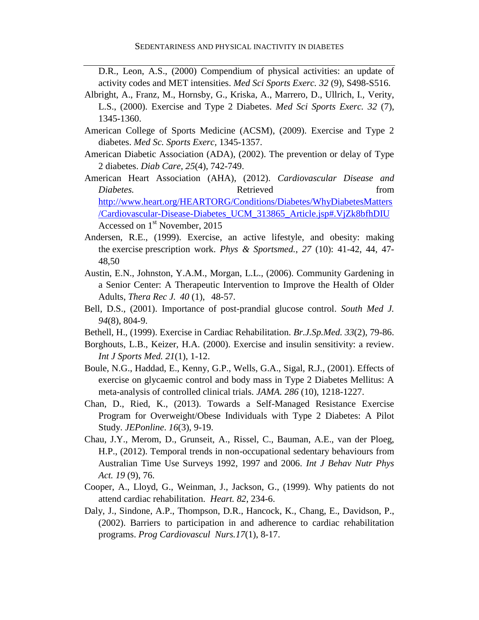D.R., Leon, A.S., (2000) Compendium of physical activities: an update of activity codes and MET intensities. *Med Sci Sports Exerc. 32* (9), S498-S516.

- Albright, A., Franz, M., Hornsby, G., Kriska, A., Marrero, D., Ullrich, I., Verity, L.S., (2000). Exercise and Type 2 Diabetes. *Med Sci Sports Exerc. 32* (7), 1345-1360.
- American College of Sports Medicine (ACSM), (2009). Exercise and Type 2 diabetes. *Med Sc. Sports Exerc,* 1345-1357.
- American Diabetic Association (ADA), (2002). The prevention or delay of Type 2 diabetes. *Diab Care, 25*(4), 742-749.
- American Heart Association (AHA), (2012). *Cardiovascular Disease and Diabetes.* Retrieved from **Retrieved** from *Piabetes.* [http://www.heart.org/HEARTORG/Conditions/Diabetes/WhyDiabetesMatters](http://www.heart.org/HEARTORG/Conditions/Diabetes/WhyDiabetesMatters/Cardiovascular-Disease-Diabetes_UCM_313865_Article.jsp#.VjZk8bfhDIU) [/Cardiovascular-Disease-Diabetes\\_UCM\\_313865\\_Article.jsp#.VjZk8bfhDIU](http://www.heart.org/HEARTORG/Conditions/Diabetes/WhyDiabetesMatters/Cardiovascular-Disease-Diabetes_UCM_313865_Article.jsp#.VjZk8bfhDIU)  Accessed on  $1<sup>st</sup>$  November, 2015
- Andersen, R.E., (1999). Exercise, an active lifestyle, and obesity: making the exercise prescription work. *Phys & Sportsmed.*, *27* (10): 41-42, 44, 47- 48,50
- Austin, E.N., Johnston, Y.A.M., Morgan, L.L., (2006). Community Gardening in a Senior Center: A Therapeutic Intervention to Improve the Health of Older Adults, *Thera Rec J. 40* (1), 48-57.
- Bell, D.S., (2001). Importance of post-prandial glucose control. *South Med J. 94*(8), 804-9.
- Bethell, H., (1999). Exercise in Cardiac Rehabilitation. *Br.J.Sp.Med. 33*(2), 79-86.
- Borghouts, L.B., Keizer, H.A. (2000). Exercise and insulin sensitivity: a review. *Int J Sports Med. 21*(1), 1-12.
- Boule, N.G., Haddad, E., Kenny, G.P., Wells, G.A., Sigal, R.J., (2001). Effects of exercise on glycaemic control and body mass in Type 2 Diabetes Mellitus: A meta-analysis of controlled clinical trials. *JAMA. 286* (10), 1218-1227.
- Chan, D., Ried, K., (2013). Towards a Self-Managed Resistance Exercise Program for Overweight/Obese Individuals with Type 2 Diabetes: A Pilot Study. *JEPonline*. *16*(3), 9-19.
- Chau, J.Y., Merom, D., Grunseit, A., Rissel, C., Bauman, A.E., van der Ploeg, H.P., (2012). Temporal trends in non-occupational sedentary behaviours from Australian Time Use Surveys 1992, 1997 and 2006. *[Int J Behav Nutr Phys](http://www.ncbi.nlm.nih.gov/pubmed/22713740)  [Act.](http://www.ncbi.nlm.nih.gov/pubmed/22713740) 19* (9), 76.
- Cooper, A., Lloyd, G., Weinman, J., Jackson, G., (1999). Why patients do not attend cardiac rehabilitation. *Heart. 82*, 234-6.
- Daly, J., Sindone, A.P., Thompson, D.R., Hancock, K., Chang, E., Davidson, P., (2002). Barriers to participation in and adherence to cardiac rehabilitation programs. *Prog Cardiovascul Nurs.17*(1), 8-17.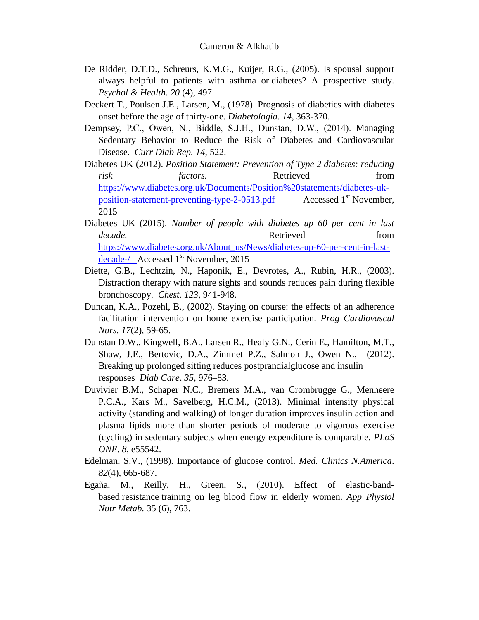- De Ridder, D.T.D., Schreurs, K.M.G., Kuijer, R.G., (2005). Is spousal support always helpful to patients with asthma or diabetes? A prospective study. *Psychol & Health. 20* (4), 497.
- Deckert T., Poulsen J.E., Larsen, M., (1978). Prognosis of diabetics with diabetes onset before the age of thirty-one. *Diabetologia. 14*, 363-370.
- Dempsey, P.C., Owen, N., Biddle, S.J.H., Dunstan, D.W., (2014). Managing Sedentary Behavior to Reduce the Risk of Diabetes and Cardiovascular Disease. *Curr Diab Rep. 14*, 522.
- Diabetes UK (2012). *Position Statement: Prevention of Type 2 diabetes: reducing risk factors.* Retrieved from [https://www.diabetes.org.uk/Documents/Position%20statements/diabetes-uk](https://www.diabetes.org.uk/Documents/Position%20statements/diabetes-uk-position-statement-preventing-type-2-0513.pdf)[position-statement-preventing-type-2-0513.pdf](https://www.diabetes.org.uk/Documents/Position%20statements/diabetes-uk-position-statement-preventing-type-2-0513.pdf) Accessed 1<sup>st</sup> November, 2015
- Diabetes UK (2015). *Number of people with diabetes up 60 per cent in last decade.* Retrieved from [https://www.diabetes.org.uk/About\\_us/News/diabetes-up-60-per-cent-in-last](https://www.diabetes.org.uk/About_us/News/diabetes-up-60-per-cent-in-last-decade-/) $decade-/-$  Accessed  $1<sup>st</sup>$  November, 2015
- Diette, G.B., Lechtzin, N., Haponik, E., Devrotes, A., Rubin, H.R., (2003). Distraction therapy with nature sights and sounds reduces pain during flexible bronchoscopy. *Chest. 123*, 941-948.
- Duncan, K.A., Pozehl, B., (2002). Staying on course: the effects of an adherence facilitation intervention on home exercise participation. *Prog Cardiovascul Nurs. 17*(2), 59-65.
- Dunstan D.W., Kingwell, B.A., Larsen R., Healy G.N., Cerin E., Hamilton, M.T., Shaw, J.E., Bertovic, D.A., Zimmet P.Z., Salmon J., Owen N., (2012). Breaking up prolonged sitting reduces postprandialglucose and insulin responses *Diab Care*. *35*, 976–83.
- Duvivier B.M., Schaper N.C., Bremers M.A., van Crombrugge G., Menheere P.C.A., Kars M., Savelberg, H.C.M., (2013). Minimal intensity physical activity (standing and walking) of longer duration improves insulin action and plasma lipids more than shorter periods of moderate to vigorous exercise (cycling) in sedentary subjects when energy expenditure is comparable. *PLoS ONE*. *8*, e55542.
- Edelman, S.V., (1998). Importance of glucose control. *Med. Clinics N.America*. *82*(4), 665-687.
- Egaña, M., Reilly, H., Green, S., (2010). Effect of elastic-bandbased resistance training on leg blood flow in elderly women. *App [Physiol](javascript:__doLinkPostBack() Nutr [Metab.](javascript:__doLinkPostBack()* 35 (6), 763.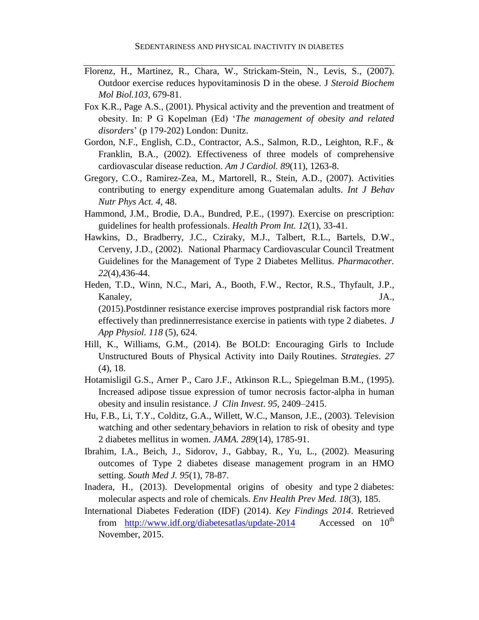- Florenz, H., Martinez, R., Chara, W., Strickam-Stein, N., Levis, S., (2007). Outdoor exercise reduces hypovitaminosis D in the obese. J *Steroid Biochem Mol Biol.103*, 679-81.
- Fox K.R., Page A.S., (2001). Physical activity and the prevention and treatment of obesity. In: P G Kopelman (Ed) '*The management of obesity and related disorders*' (p 179-202) London: Dunitz.
- Gordon, N.F., English, C.D., Contractor, A.S., Salmon, R.D., Leighton, R.F., & Franklin, B.A., (2002). Effectiveness of three models of comprehensive cardiovascular disease reduction. *Am J Cardiol. 89*(11), 1263-8.
- Gregory, C.O., Ramirez-Zea, M., Martorell, R., Stein, A.D., (2007). Activities contributing to energy expenditure among Guatemalan adults. *Int J Behav Nutr Phys Act. 4*, 48.
- Hammond, J.M., Brodie, D.A., Bundred, P.E., (1997). Exercise on prescription: guidelines for health professionals. *Health Prom Int. 12*(1), 33-41.
- Hawkins, D., Bradberry, J.C., Cziraky, M.J., Talbert, R.L., Bartels, D.W., Cerveny, J.D., (2002). National Pharmacy Cardiovascular Council Treatment Guidelines for the Management of Type 2 Diabetes Mellitus. *Pharmacother. 22*(4),436-44.
- Heden, T.D., Winn, N.C., Mari, A., Booth, F.W., Rector, R.S., Thyfault, J.P., Kanaley, JA., (2015).Postdinner resistance exercise improves postprandial risk factors more effectively than predinnerresistance exercise in patients with type 2 diabetes. *J App Physiol. 118* (5), 624.
- Hill, K., Williams, G.M., (2014). Be BOLD: Encouraging Girls to Include Unstructured Bouts of Physical Activity into Daily Routines. *Strategies*. *27* (4), 18.
- Hotamisligil G.S., Arner P., Caro J.F., Atkinson R.L., Spiegelman B.M., (1995). Increased adipose tissue expression of tumor necrosis factor-alpha in human obesity and insulin resistance. *J Clin Invest*. *95*, 2409–2415.
- Hu, F.B., Li, T.Y., Colditz, G.A., Willett, W.C., Manson, J.E., (2003). Television watching and other sedentary behaviors in relation to risk of obesity and type 2 diabetes mellitus in women. *JAMA. 289*(14), 1785-91.
- Ibrahim, I.A., Beich, J., Sidorov, J., Gabbay, R., Yu, L., (2002). Measuring outcomes of Type 2 diabetes disease management program in an HMO setting. *South Med J. 95*(1), 78-87.
- Inadera, H., (2013). Developmental origins of obesity and type 2 diabetes: molecular aspects and role of chemicals. *Env Health Prev Med. 18*(3), 185.
- International Diabetes Federation (IDF) (2014). *Key Findings 2014*. Retrieved from <http://www.idf.org/diabetesatlas/update-2014>Accessed on  $10^{th}$ November, 2015.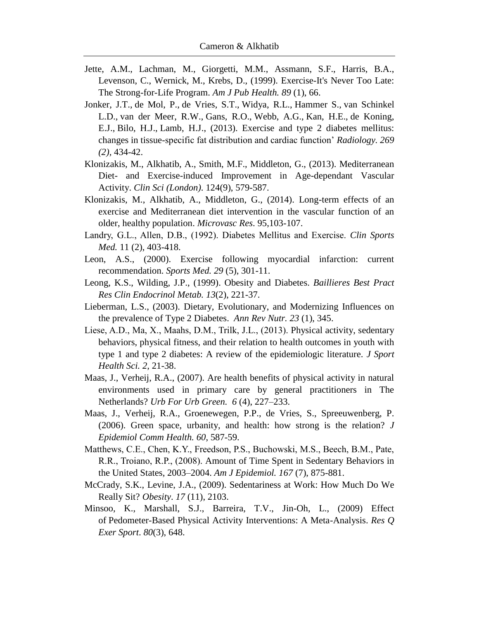- Jette, A.M., Lachman, M., Giorgetti, M.M., Assmann, S.F., Harris, B.A., Levenson, C., Wernick, M., Krebs, D., (1999). Exercise-It's Never Too Late: The Strong-for-Life Program. *Am J Pub Health. 89* (1), 66.
- [Jonker, J.T.](http://www.ncbi.nlm.nih.gov/pubmed/?term=Jonker%20JT%5BAuthor%5D&cauthor=true&cauthor_uid=23801768), [de Mol, P.](http://www.ncbi.nlm.nih.gov/pubmed/?term=de%20Mol%20P%5BAuthor%5D&cauthor=true&cauthor_uid=23801768), [de Vries, S.T.](http://www.ncbi.nlm.nih.gov/pubmed/?term=de%20Vries%20ST%5BAuthor%5D&cauthor=true&cauthor_uid=23801768), [Widya, R.L.](http://www.ncbi.nlm.nih.gov/pubmed/?term=Widya%20RL%5BAuthor%5D&cauthor=true&cauthor_uid=23801768), [Hammer S.](http://www.ncbi.nlm.nih.gov/pubmed/?term=Hammer%20S%5BAuthor%5D&cauthor=true&cauthor_uid=23801768), [van Schinkel](http://www.ncbi.nlm.nih.gov/pubmed/?term=van%20Schinkel%20LD%5BAuthor%5D&cauthor=true&cauthor_uid=23801768)  [L.D.](http://www.ncbi.nlm.nih.gov/pubmed/?term=van%20Schinkel%20LD%5BAuthor%5D&cauthor=true&cauthor_uid=23801768), [van der Meer,](http://www.ncbi.nlm.nih.gov/pubmed/?term=van%20der%20Meer%20RW%5BAuthor%5D&cauthor=true&cauthor_uid=23801768) R.W., [Gans,](http://www.ncbi.nlm.nih.gov/pubmed/?term=Gans%20RO%5BAuthor%5D&cauthor=true&cauthor_uid=23801768) R.O., [Webb,](http://www.ncbi.nlm.nih.gov/pubmed/?term=Webb%20AG%5BAuthor%5D&cauthor=true&cauthor_uid=23801768) A.G., [Kan,](http://www.ncbi.nlm.nih.gov/pubmed/?term=Kan%20HE%5BAuthor%5D&cauthor=true&cauthor_uid=23801768) H.E., [de Koning,](http://www.ncbi.nlm.nih.gov/pubmed/?term=de%20Koning%20EJ%5BAuthor%5D&cauthor=true&cauthor_uid=23801768) [E.J.](http://www.ncbi.nlm.nih.gov/pubmed/?term=de%20Koning%20EJ%5BAuthor%5D&cauthor=true&cauthor_uid=23801768), [Bilo,](http://www.ncbi.nlm.nih.gov/pubmed/?term=Bilo%20HJ%5BAuthor%5D&cauthor=true&cauthor_uid=23801768) H.J., [Lamb,](http://www.ncbi.nlm.nih.gov/pubmed/?term=Lamb%20HJ%5BAuthor%5D&cauthor=true&cauthor_uid=23801768) H.J., (2013). Exercise and type 2 diabetes mellitus: changes in tissue-specific fat distribution and cardiac function' *[Radiology.](http://www.ncbi.nlm.nih.gov/pubmed/23801768) 269 (2),* 434-42.
- Klonizakis, M., Alkhatib, A., Smith, M.F., Middleton, G., (2013). Mediterranean Diet- and Exercise-induced Improvement in Age-dependant Vascular Activity. *Clin Sci (London)*. 124(9), 579-587.
- Klonizakis, M., Alkhatib, A., Middleton, G., (2014). Long-term effects of an exercise and Mediterranean diet intervention in the vascular function of an older, healthy population. *Microvasc Res*. 95,103-107.
- Landry, G.L., Allen, D.B., (1992). Diabetes Mellitus and Exercise. *Clin [Sports](javascript:__doLinkPostBack() [Med.](javascript:__doLinkPostBack()* 11 (2), 403-418.
- Leon, A.S., (2000). Exercise following myocardial infarction: current recommendation. *Sports Med. 29* (5), 301-11.
- Leong, K.S., Wilding, J.P., (1999). Obesity and Diabetes. *Baillieres Best Pract Res Clin Endocrinol Metab. 13*(2), 221-37.
- Lieberman, L.S., (2003). Dietary, Evolutionary, and Modernizing Influences on the prevalence of Type 2 Diabetes. *Ann Rev Nutr. 23* (1), 345.
- Liese, A.D., Ma, X., Maahs, D.M., Trilk, J.L., (2013). Physical activity, sedentary behaviors, physical fitness, and their relation to health outcomes in youth with type 1 and type 2 diabetes: A review of the epidemiologic literature. *J Sport Health Sci. 2,* 21-38.
- Maas, J., Verheij, R.A., (2007). Are health benefits of physical activity in natural environments used in primary care by general practitioners in The Netherlands? *Urb For Urb [Green.](http://www.sciencedirect.com/science/journal/16188667) 6* [\(4\)](http://www.sciencedirect.com/science/journal/16188667/6/4), 227–233.
- Maas, J., Verheij, R.A., Groenewegen, P.P., de Vries, S., Spreeuwenberg, P. (2006). Green space, urbanity, and health: how strong is the relation? *J Epidemiol Comm Health. 60*, 587-59.
- Matthews, C.E., Chen, K.Y., Freedson, P.S., Buchowski, M.S., Beech, B.M., Pate, R.R., Troiano, R.P., (2008). Amount of Time Spent in Sedentary Behaviors in the United States, 2003–2004. *Am J Epidemiol. 167* (7), 875-881.
- McCrady, S.K., Levine, J.A., (2009). [Sedentariness](http://web.a.ebscohost.com.libproxy.abertay.ac.uk/ehost/viewarticle?data=dGJyMPPp44rp2%2fdV0%2bnjisfk5Ie46a9Js6uuS7ek63nn5Kx95uXxjL6nr0e0pbBIr6ueS7irs1KxrJ5oy5zyit%2fk8Xnh6ueH7N%2fiVauns1Cwp65NtKmzPurX7H%2b72%2bw%2b4ti7i7HepIzf3btZzJzfhruqslCvqLZKspzkh%2fDj34y73POE6urjkPIA&hid=4207) at Work: How Much Do We [Really](http://web.a.ebscohost.com.libproxy.abertay.ac.uk/ehost/viewarticle?data=dGJyMPPp44rp2%2fdV0%2bnjisfk5Ie46a9Js6uuS7ek63nn5Kx95uXxjL6nr0e0pbBIr6ueS7irs1KxrJ5oy5zyit%2fk8Xnh6ueH7N%2fiVauns1Cwp65NtKmzPurX7H%2b72%2bw%2b4ti7i7HepIzf3btZzJzfhruqslCvqLZKspzkh%2fDj34y73POE6urjkPIA&hid=4207) Sit? *Obesity*. *17* (11), 2103.
- Minsoo, K., Marshall, S.J., Barreira, T.V., Jin-Oh, L., (2009) Effect of Pedometer-Based Physical Activity Interventions: A Meta-Analysis. *Res Q Exer Sport*. *80*(3), 648.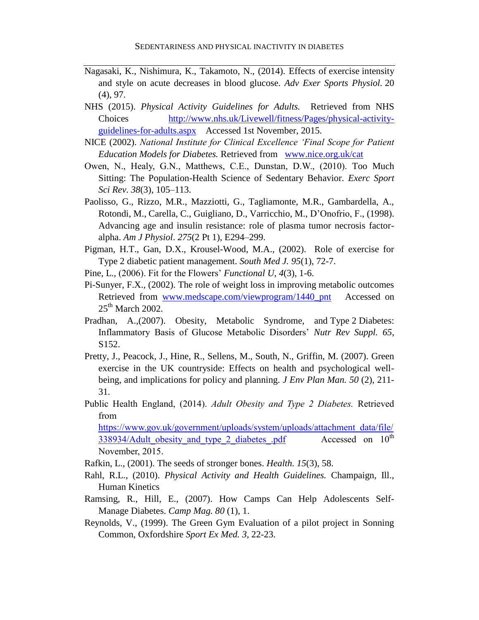- Nagasaki, K., Nishimura, K., Takamoto, N., (2014). Effects of exercise intensity and style on acute decreases in blood glucose. *[Adv Exer Sports Physiol.](javascript:__doLinkPostBack()* 20 (4), 97.
- NHS (2015). *Physical Activity Guidelines for Adults.* Retrieved from NHS Choices [http://www.nhs.uk/Livewell/fitness/Pages/physical-activity](http://www.nhs.uk/Livewell/fitness/Pages/physical-activity-guidelines-for-adults.aspx)[guidelines-for-adults.aspx](http://www.nhs.uk/Livewell/fitness/Pages/physical-activity-guidelines-for-adults.aspx) Accessed 1st November, 2015.
- NICE (2002). *National Institute for Clinical Excellence 'Final Scope for Patient Education Models for Diabetes.* Retrieved from [www.nice.org.uk/cat](http://www.nice.org.uk/cat)
- Owen, N., Healy, G.N., Matthews, C.E., Dunstan, D.W., (2010). Too Much Sitting: The Population-Health Science of Sedentary Behavior. *[Exerc Sport](http://www.ncbi.nlm.nih.gov/entrez/eutils/elink.fcgi?dbfrom=pubmed&retmode=ref&cmd=prlinks&id=20577058)  Sci Rev*. *38*[\(3\), 105–113.](http://www.ncbi.nlm.nih.gov/entrez/eutils/elink.fcgi?dbfrom=pubmed&retmode=ref&cmd=prlinks&id=20577058)
- Paolisso, G., Rizzo, M.R., Mazziotti, G., Tagliamonte, M.R., Gambardella, A., Rotondi, M., Carella, C., Guigliano, D., Varricchio, M., D'Onofrio, F., (1998). Advancing age and insulin resistance: role of plasma tumor necrosis factoralpha. *Am J Physiol*. *275*(2 Pt 1), E294–299.
- Pigman, H.T., Gan, D.X., Krousel-Wood, M.A., (2002). Role of exercise for Type 2 diabetic patient management. *South Med J. 95*(1), 72-7.
- Pine, L., (2006). Fit for the Flowers' *Functional U, 4*(3), 1-6.
- Pi-Sunyer, F.X., (2002). The role of weight loss in improving metabolic outcomes Retrieved from [www.medscape.com/viewprogram/1440\\_pnt](http://www.medscape.com/viewprogram/1440_pnt) Accessed on  $25<sup>th</sup>$  March 2002.
- Pradhan, A.,(2007). Obesity, Metabolic Syndrome, and Type 2 Diabetes: Inflammatory Basis of Glucose Metabolic Disorders' *Nutr Rev Suppl. 65*, S152.
- Pretty, J., Peacock, J., Hine, R., Sellens, M., South, N., Griffin, M. (2007). Green exercise in the UK countryside: Effects on health and psychological wellbeing, and implications for policy and planning. *J Env Plan Man. [50](http://www.tandfonline.com/loi/cjep20?open=50#vol_50)* (2), 211- 31.
- Public Health England, (2014). *Adult Obesity and Type 2 Diabetes.* Retrieved from

[https://www.gov.uk/government/uploads/system/uploads/attachment\\_data/file/](https://www.gov.uk/government/uploads/system/uploads/attachment_data/file/338934/Adult_obesity_and_type_2_diabetes_.pdf) 338934/Adult obesity and type 2 diabetes pdf Accessed on  $10^{th}$ November, 2015.

- Rafkin, L., (2001). The seeds of stronger bones. *Health. 15*(3), 58.
- Rahl, R.L., (2010). *Physical Activity and Health Guidelines.* Champaign, Ill., Human Kinetics
- Ramsing, R., Hill, E., (2007). How Camps Can Help Adolescents Self-Manage Diabetes. *Camp Mag. 80* (1), 1.
- Reynolds, V., (1999). The Green Gym Evaluation of a pilot project in Sonning Common, Oxfordshire *Sport Ex Med. 3,* 22-23.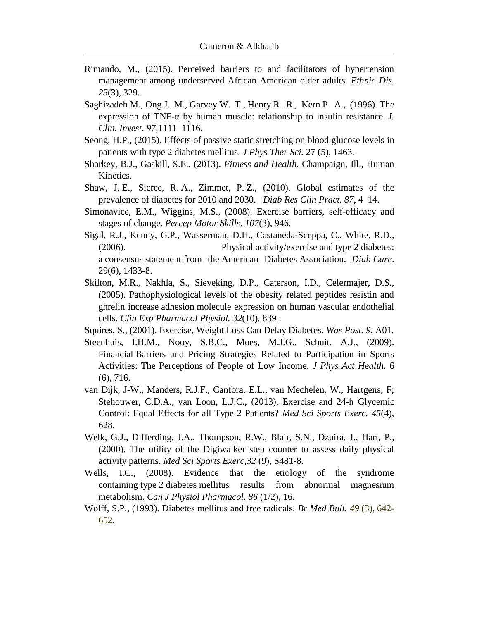- Rimando, M., (2015). Perceived barriers to and facilitators of hypertension management among underserved African American older adults. *Ethnic Dis. 25*(3), 329.
- Saghizadeh M., Ong J. M., Garvey W. T., Henry R. R., Kern P. A., (1996). The expression of TNF-α by human muscle: relationship to insulin resistance. *J. Clin. Invest*. *97*,1111–1116.
- Seong, H.P., (2015). Effects of passive static stretching on blood glucose levels in patients with type 2 diabetes mellitus. *J [Phys](javascript:__doLinkPostBack() Ther Sci.* 27 (5), 1463.
- Sharkey, B.J., Gaskill, S.E., (2013). *Fitness and Health.* Champaign, Ill., Human Kinetics.
- Shaw, J. E., Sicree, R. A., Zimmet, P. Z., (2010). Global estimates of the prevalence of diabetes for 2010 and 2030. *Diab Res Clin Pract. 87*, 4–14.
- Simonavice, E.M., Wiggins, M.S., (2008). Exercise barriers, self-efficacy and stages of change. *Percep Motor Skills*. *107*(3), 946.
- Sigal, R.J., Kenny, G.P., Wasserman, D.H., Castaneda-Sceppa, C., White, R.D., (2006). Physical activity/exercise and type 2 diabetes: a consensus statement from the American Diabetes Association. *Diab Care*. 29(6), 1433-8.
- Skilton, M.R., Nakhla, S., Sieveking, D.P., Caterson, I.D., Celermajer, D.S., (2005). Pathophysiological levels of the obesity related peptides resistin and ghrelin increase adhesion molecule expression on human vascular endothelial cells. *Clin Exp Pharmacol Physiol. 32*(10), 839 .
- Squires, S., (2001). Exercise, Weight Loss Can Delay Diabetes. *Was Post. 9*, A01.
- Steenhuis, I.H.M., Nooy, S.B.C., Moes, M.J.G., Schuit, A.J., (2009). Financial Barriers and Pricing Strategies Related to Participation in Sports Activities: The Perceptions of People of Low Income. *J Phys Act Health.* 6 (6), 716.
- van Dijk, J-W., Manders, R.J.F., Canfora, E.L., van Mechelen, W., Hartgens, F; Stehouwer, C.D.A., van Loon, L.J.C., (2013). Exercise and 24-h Glycemic Control: Equal Effects for all Type 2 Patients? *Med Sci Sports Exerc. 45*(4), 628.
- Welk, G.J., Differding, J.A., Thompson, R.W., Blair, S.N., Dzuira, J., Hart, P., (2000). The utility of the Digiwalker step counter to assess daily physical activity patterns. *Med Sci Sports Exerc,32* (9), S481-8.
- Wells, I.C., (2008). Evidence that the etiology of the syndrome containing type 2 diabetes mellitus results from abnormal magnesium metabolism. *Can J Physiol Pharmacol. 86* (1/2), 16.
- Wolff, S.P., (1993). Diabetes mellitus and free radicals. *Br Med Bull. 49* (3), 642- 652.